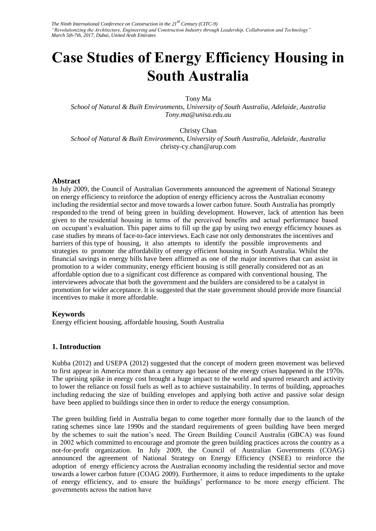# **Case Studies of Energy Efficiency Housing in South Australia**

Tony Ma

*School of Natural & Built Environments, University of South Australia, Adelaide, Australia Tony.ma@unisa.edu.au* 

Christy Chan *School of Natural & Built Environments, University of South Australia, Adelaide, Australia*  christy-cy.chan@arup.com

#### **Abstract**

In July 2009, the Council of Australian Governments announced the agreement of National Strategy on energy efficiency to reinforce the adoption of energy efficiency across the Australian economy including the residential sector and move towards a lower carbon future. South Australia has promptly responded to the trend of being green in building development. However, lack of attention has been given to the residential housing in terms of the perceived benefits and actual performance based on occupant's evaluation. This paper aims to fill up the gap by using two energy efficiency houses as case studies by means of face-to-face interviews. Each case not only demonstrates the incentives and barriers of this type of housing, it also attempts to identify the possible improvements and strategies to promote the affordability of energy efficient housing in South Australia. Whilst the financial savings in energy bills have been affirmed as one of the major incentives that can assist in promotion to a wider community, energy efficient housing is still generally considered not as an affordable option due to a significant cost difference as compared with conventional housing. The interviewees advocate that both the government and the builders are considered to be a catalyst in promotion for wider acceptance. It is suggested that the state government should provide more financial incentives to make it more affordable.

#### **Keywords**

Energy efficient housing, affordable housing, South Australia

## **1. Introduction**

Kubba (2012) and USEPA (2012) suggested that the concept of modern green movement was believed to first appear in America more than a century ago because of the energy crises happened in the 1970s. The uprising spike in energy cost brought a huge impact to the world and spurred research and activity to lower the reliance on fossil fuels as well as to achieve sustainability. In terms of building, approaches including reducing the size of building envelopes and applying both active and passive solar design have been applied to buildings since then in order to reduce the energy consumption.

The green building field in Australia began to come together more formally due to the launch of the rating schemes since late 1990s and the standard requirements of green building have been merged by the schemes to suit the nation's need. The Green Building Council Australia (GBCA) was found in 2002 which committed to encourage and promote the green building practices across the country as a not-for-profit organization. In July 2009, the Council of Australian Governments (COAG) announced the agreement of National Strategy on Energy Efficiency (NSEE) to reinforce the adoption of energy efficiency across the Australian economy including the residential sector and move towards a lower carbon future (COAG 2009). Furthermore, it aims to reduce impediments to the uptake of energy efficiency, and to ensure the buildings' performance to be more energy efficient. The governments across the nation have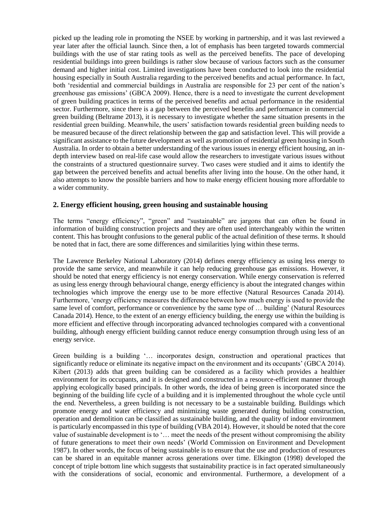picked up the leading role in promoting the NSEE by working in partnership, and it was last reviewed a year later after the official launch. Since then, a lot of emphasis has been targeted towards commercial buildings with the use of star rating tools as well as the perceived benefits. The pace of developing residential buildings into green buildings is rather slow because of various factors such as the consumer demand and higher initial cost. Limited investigations have been conducted to look into the residential housing especially in South Australia regarding to the perceived benefits and actual performance. In fact, both 'residential and commercial buildings in Australia are responsible for 23 per cent of the nation's greenhouse gas emissions' (GBCA 2009). Hence, there is a need to investigate the current development of green building practices in terms of the perceived benefits and actual performance in the residential sector. Furthermore, since there is a gap between the perceived benefits and performance in commercial green building (Beltrame 2013), it is necessary to investigate whether the same situation presents in the residential green building. Meanwhile, the users' satisfaction towards residential green building needs to be measured because of the direct relationship between the gap and satisfaction level. This will provide a significant assistance to the future development as well as promotion of residential green housing in South Australia. In order to obtain a better understanding of the various issues in energy efficient housing, an indepth interview based on real-life case would allow the researchers to investigate various issues without the constraints of a structured questionnaire survey. Two cases were studied and it aims to identify the gap between the perceived benefits and actual benefits after living into the house. On the other hand, it also attempts to know the possible barriers and how to make energy efficient housing more affordable to a wider community.

## **2. Energy efficient housing, green housing and sustainable housing**

The terms "energy efficiency", "green" and "sustainable" are jargons that can often be found in information of building construction projects and they are often used interchangeably within the written content. This has brought confusions to the general public of the actual definition of these terms. It should be noted that in fact, there are some differences and similarities lying within these terms.

The Lawrence Berkeley National Laboratory (2014) defines energy efficiency as using less energy to provide the same service, and meanwhile it can help reducing greenhouse gas emissions. However, it should be noted that energy efficiency is not energy conservation. While energy conservation is referred as using less energy through behavioural change, energy efficiency is about the integrated changes within technologies which improve the energy use to be more effective (Natural Resources Canada 2014). Furthermore, 'energy efficiency measures the difference between how much energy is used to provide the same level of comfort, performance or convenience by the same type of … building' (Natural Resources Canada 2014). Hence, to the extent of an energy efficiency building, the energy use within the building is more efficient and effective through incorporating advanced technologies compared with a conventional building, although energy efficient building cannot reduce energy consumption through using less of an energy service.

Green building is a building '… incorporates design, construction and operational practices that significantly reduce or eliminate its negative impact on the environment and its occupants' (GBCA 2014). Kibert (2013) adds that green building can be considered as a facility which provides a healthier environment for its occupants, and it is designed and constructed in a resource-efficient manner through applying ecologically based principals. In other words, the idea of being green is incorporated since the beginning of the building life cycle of a building and it is implemented throughout the whole cycle until the end. Nevertheless, a green building is not necessary to be a sustainable building. Buildings which promote energy and water efficiency and minimizing waste generated during building construction, operation and demolition can be classified as sustainable building, and the quality of indoor environment is particularly encompassed in this type of building (VBA 2014). However, it should be noted that the core value of sustainable development is to '… meet the needs of the present without compromising the ability of future generations to meet their own needs' (World Commission on Environment and Development 1987). In other words, the focus of being sustainable is to ensure that the use and production of resources can be shared in an equitable manner across generations over time. Elkington (1998) developed the concept of triple bottom line which suggests that sustainability practice is in fact operated simultaneously with the considerations of social, economic and environmental. Furthermore, a development of a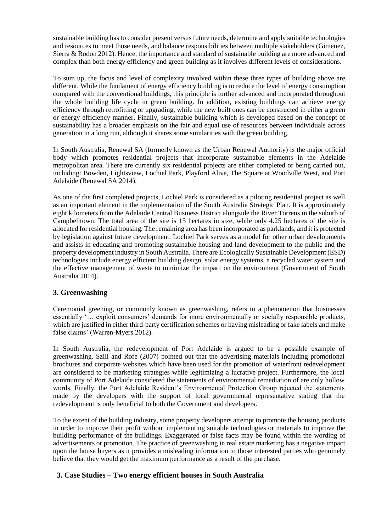sustainable building has to consider present versus future needs, determine and apply suitable technologies and resources to meet those needs, and balance responsibilities between multiple stakeholders (Gimenez, Sierra & Rodon 2012). Hence, the importance and standard of sustainable building are more advanced and complex than both energy efficiency and green building as it involves different levels of considerations.

To sum up, the focus and level of complexity involved within these three types of building above are different. While the fundament of energy efficiency building is to reduce the level of energy consumption compared with the conventional buildings, this principle is further advanced and incorporated throughout the whole building life cycle in green building. In addition, existing buildings can achieve energy efficiency through retrofitting or upgrading, while the new built ones can be constructed in either a green or energy efficiency manner. Finally, sustainable building which is developed based on the concept of sustainability has a broader emphasis on the fair and equal use of resources between individuals across generation in a long run, although it shares some similarities with the green building.

In South Australia, Renewal SA (formerly known as the Urban Renewal Authority) is the major official body which promotes residential projects that incorporate sustainable elements in the Adelaide metropolitan area. There are currently six residential projects are either completed or being carried out, including: Bowden, Lightsview, Lochiel Park, Playford Alive, The Square at Woodville West, and Port Adelaide (Renewal SA 2014).

As one of the first completed projects, Lochiel Park is considered as a piloting residential project as well as an important element in the implementation of the South Australia Strategic Plan. It is approximately eight kilometers from the Adelaide Central Business District alongside the River Torrens in the suburb of Campbelltown. The total area of the site is 15 hectares in size, while only 4.25 hectares of the site is allocated for residential housing. The remaining area has been incorporated as parklands, and it is protected by legislation against future development. Lochiel Park serves as a model for other urban developments and assists in educating and promoting sustainable housing and land development to the public and the property development industry in South Australia. There are Ecologically Sustainable Development (ESD) technologies include energy efficient building design, solar energy systems, a recycled water system and the effective management of waste to minimize the impact on the environment (Government of South Australia 2014).

# **3. Greenwashing**

Ceremonial greening, or commonly known as greenwashing, refers to a phenomenon that businesses essentially '… exploit consumers' demands for more environmentally or socially responsible products, which are justified in either third-party certification schemes or having misleading or fake labels and make false claims' (Warren-Myers 2012).

In South Australia, the redevelopment of Port Adelaide is argued to be a possible example of greenwashing. Szili and Rofe (2007) pointed out that the advertising materials including promotional brochures and corporate websites which have been used for the promotion of waterfront redevelopment are considered to be marketing strategies while legitimizing a lucrative project. Furthermore, the local community of Port Adelaide considered the statements of environmental remediation of are only hollow words. Finally, the Port Adelaide Resident's Environmental Protection Group rejected the statements made by the developers with the support of local governmental representative stating that the redevelopment is only beneficial to both the Government and developers.

To the extent of the building industry, some property developers attempt to promote the housing products in order to improve their profit without implementing suitable technologies or materials to improve the building performance of the buildings. Exaggerated or false facts may be found within the wording of advertisements or promotion. The practice of greenwashing in real estate marketing has a negative impact upon the house buyers as it provides a misleading information to those interested parties who genuinely believe that they would get the maximum performance as a result of the purchase.

## **3. Case Studies – Two energy efficient houses in South Australia**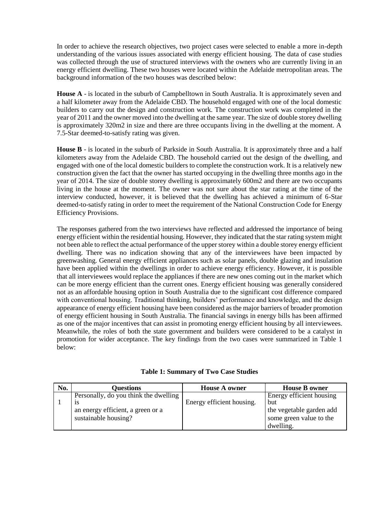In order to achieve the research objectives, two project cases were selected to enable a more in-depth understanding of the various issues associated with energy efficient housing. The data of case studies was collected through the use of structured interviews with the owners who are currently living in an energy efficient dwelling. These two houses were located within the Adelaide metropolitan areas. The background information of the two houses was described below:

**House A** - is located in the suburb of Campbelltown in South Australia. It is approximately seven and a half kilometer away from the Adelaide CBD. The household engaged with one of the local domestic builders to carry out the design and construction work. The construction work was completed in the year of 2011 and the owner moved into the dwelling at the same year. The size of double storey dwelling is approximately 320m2 in size and there are three occupants living in the dwelling at the moment. A 7.5-Star deemed-to-satisfy rating was given.

**House B** - is located in the suburb of Parkside in South Australia. It is approximately three and a half kilometers away from the Adelaide CBD. The household carried out the design of the dwelling, and engaged with one of the local domestic builders to complete the construction work. It is a relatively new construction given the fact that the owner has started occupying in the dwelling three months ago in the year of 2014. The size of double storey dwelling is approximately 600m2 and there are two occupants living in the house at the moment. The owner was not sure about the star rating at the time of the interview conducted, however, it is believed that the dwelling has achieved a minimum of 6-Star deemed-to-satisfy rating in order to meet the requirement of the National Construction Code for Energy Efficiency Provisions.

The responses gathered from the two interviews have reflected and addressed the importance of being energy efficient within the residential housing. However, they indicated that the star rating system might not been able to reflect the actual performance of the upper storey within a double storey energy efficient dwelling. There was no indication showing that any of the interviewees have been impacted by greenwashing. General energy efficient appliances such as solar panels, double glazing and insulation have been applied within the dwellings in order to achieve energy efficiency. However, it is possible that all interviewees would replace the appliances if there are new ones coming out in the market which can be more energy efficient than the current ones. Energy efficient housing was generally considered not as an affordable housing option in South Australia due to the significant cost difference compared with conventional housing. Traditional thinking, builders' performance and knowledge, and the design appearance of energy efficient housing have been considered as the major barriers of broader promotion of energy efficient housing in South Australia. The financial savings in energy bills has been affirmed as one of the major incentives that can assist in promoting energy efficient housing by all interviewees. Meanwhile, the roles of both the state government and builders were considered to be a catalyst in promotion for wider acceptance. The key findings from the two cases were summarized in Table 1 below:

| No. | <b>Questions</b>                      | <b>House A owner</b>      | <b>House B owner</b>     |
|-----|---------------------------------------|---------------------------|--------------------------|
|     | Personally, do you think the dwelling |                           | Energy efficient housing |
|     | <b>1S</b>                             | Energy efficient housing. | but                      |
|     | an energy efficient, a green or a     |                           | the vegetable garden add |
|     | sustainable housing?                  |                           | some green value to the  |

| <b>Table 1: Summary of Two Case Studies</b> |  |  |
|---------------------------------------------|--|--|
|---------------------------------------------|--|--|

dwelling.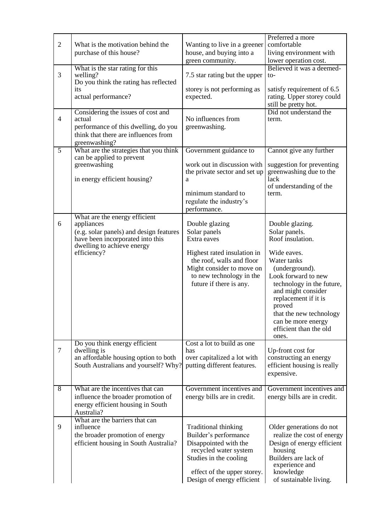| $\overline{2}$ | What is the motivation behind the<br>purchase of this house?                                                                                                            | Wanting to live in a greener<br>house, and buying into a<br>green community.                                                                                                                  | Preferred a more<br>comfortable<br>living environment with<br>lower operation cost.                                                                                                                                                                                                                  |
|----------------|-------------------------------------------------------------------------------------------------------------------------------------------------------------------------|-----------------------------------------------------------------------------------------------------------------------------------------------------------------------------------------------|------------------------------------------------------------------------------------------------------------------------------------------------------------------------------------------------------------------------------------------------------------------------------------------------------|
| 3              | What is the star rating for this<br>welling?                                                                                                                            | 7.5 star rating but the upper                                                                                                                                                                 | Believed it was a deemed-<br>to-                                                                                                                                                                                                                                                                     |
|                | Do you think the rating has reflected<br>its<br>actual performance?                                                                                                     | storey is not performing as<br>expected.                                                                                                                                                      | satisfy requirement of 6.5<br>rating. Upper storey could<br>still be pretty hot.                                                                                                                                                                                                                     |
| $\overline{4}$ | Considering the issues of cost and<br>actual<br>performance of this dwelling, do you<br>think that there are influences from<br>greenwashing?                           | No influences from<br>greenwashing.                                                                                                                                                           | Did not understand the<br>term.                                                                                                                                                                                                                                                                      |
| $\overline{5}$ | What are the strategies that you think<br>can be applied to prevent<br>greenwashing<br>in energy efficient housing?                                                     | Government guidance to<br>work out in discussion with<br>the private sector and set up<br>a<br>minimum standard to<br>regulate the industry's<br>performance.                                 | Cannot give any further<br>suggestion for preventing<br>greenwashing due to the<br>lack<br>of understanding of the<br>term.                                                                                                                                                                          |
| 6              | What are the energy efficient<br>appliances<br>(e.g. solar panels) and design features<br>have been incorporated into this<br>dwelling to achieve energy<br>efficiency? | Double glazing<br>Solar panels<br>Extra eaves<br>Highest rated insulation in<br>the roof, walls and floor<br>Might consider to move on<br>to new technology in the<br>future if there is any. | Double glazing.<br>Solar panels.<br>Roof insulation.<br>Wide eaves.<br>Water tanks<br>(underground).<br>Look forward to new<br>technology in the future,<br>and might consider<br>replacement if it is<br>proved<br>that the new technology<br>can be more energy<br>efficient than the old<br>ones. |
| $\overline{7}$ | Do you think energy efficient<br>dwelling is<br>an affordable housing option to both<br>South Australians and yourself? Why?                                            | Cost a lot to build as one<br>has<br>over capitalized a lot with<br>putting different features.                                                                                               | Up-front cost for<br>constructing an energy<br>efficient housing is really<br>expensive.                                                                                                                                                                                                             |
| $\sqrt{8}$     | What are the incentives that can<br>influence the broader promotion of<br>energy efficient housing in South<br>Australia?                                               | Government incentives and<br>energy bills are in credit.                                                                                                                                      | Government incentives and<br>energy bills are in credit.                                                                                                                                                                                                                                             |
| 9              | What are the barriers that can<br>influence<br>the broader promotion of energy<br>efficient housing in South Australia?                                                 | <b>Traditional thinking</b><br>Builder's performance<br>Disappointed with the<br>recycled water system<br>Studies in the cooling<br>effect of the upper storey.<br>Design of energy efficient | Older generations do not<br>realize the cost of energy<br>Design of energy efficient<br>housing<br>Builders are lack of<br>experience and<br>knowledge<br>of sustainable living.                                                                                                                     |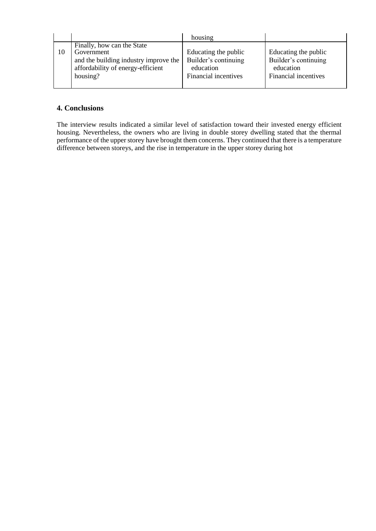|    |                                          | housing              |                      |
|----|------------------------------------------|----------------------|----------------------|
| 10 | Finally, how can the State<br>Government | Educating the public | Educating the public |
|    | and the building industry improve the    | Builder's continuing | Builder's continuing |
|    | affordability of energy-efficient        | education            | education            |
|    | housing?                                 | Financial incentives | Financial incentives |

## **4. Conclusions**

The interview results indicated a similar level of satisfaction toward their invested energy efficient housing. Nevertheless, the owners who are living in double storey dwelling stated that the thermal performance of the upper storey have brought them concerns. They continued that there is a temperature difference between storeys, and the rise in temperature in the upper storey during hot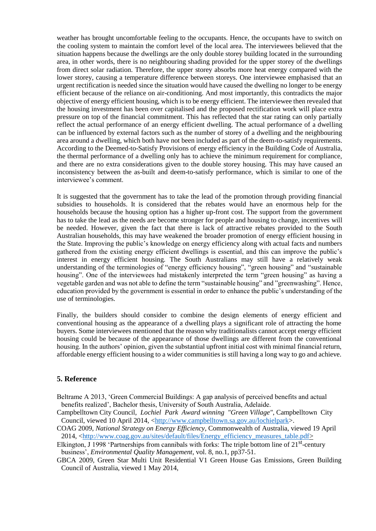weather has brought uncomfortable feeling to the occupants. Hence, the occupants have to switch on the cooling system to maintain the comfort level of the local area. The interviewees believed that the situation happens because the dwellings are the only double storey building located in the surrounding area, in other words, there is no neighbouring shading provided for the upper storey of the dwellings from direct solar radiation. Therefore, the upper storey absorbs more heat energy compared with the lower storey, causing a temperature difference between storeys. One interviewee emphasised that an urgent rectification is needed since the situation would have caused the dwelling no longer to be energy efficient because of the reliance on air-conditioning. And most importantly, this contradicts the major objective of energy efficient housing, which is to be energy efficient. The interviewee then revealed that the housing investment has been over capitalised and the proposed rectification work will place extra pressure on top of the financial commitment. This has reflected that the star rating can only partially reflect the actual performance of an energy efficient dwelling. The actual performance of a dwelling can be influenced by external factors such as the number of storey of a dwelling and the neighbouring area around a dwelling, which both have not been included as part of the deem-to-satisfy requirements. According to the Deemed-to-Satisfy Provisions of energy efficiency in the Building Code of Australia, the thermal performance of a dwelling only has to achieve the minimum requirement for compliance, and there are no extra considerations given to the double storey housing. This may have caused an inconsistency between the as-built and deem-to-satisfy performance, which is similar to one of the interviewee's comment.

It is suggested that the government has to take the lead of the promotion through providing financial subsidies to households. It is considered that the rebates would have an enormous help for the households because the housing option has a higher up-front cost. The support from the government has to take the lead as the needs are become stronger for people and housing to change, incentives will be needed. However, given the fact that there is lack of attractive rebates provided to the South Australian households, this may have weakened the broader promotion of energy efficient housing in the State. Improving the public's knowledge on energy efficiency along with actual facts and numbers gathered from the existing energy efficient dwellings is essential, and this can improve the public's interest in energy efficient housing. The South Australians may still have a relatively weak understanding of the terminologies of "energy efficiency housing", "green housing" and "sustainable housing". One of the interviewees had mistakenly interpreted the term "green housing" as having a vegetable garden and was not able to define the term "sustainable housing" and "greenwashing". Hence, education provided by the government is essential in order to enhance the public's understanding of the use of terminologies.

Finally, the builders should consider to combine the design elements of energy efficient and conventional housing as the appearance of a dwelling plays a significant role of attracting the home buyers. Some interviewees mentioned that the reason why traditionalists cannot accept energy efficient housing could be because of the appearance of those dwellings are different from the conventional housing. In the authors' opinion, given the substantial upfront initial cost with minimal financial return, affordable energy efficient housing to a wider communities is still having a long way to go and achieve.

#### **5. Reference**

Beltrame A 2013, 'Green Commercial Buildings: A gap analysis of perceived benefits and actual benefits realized', Bachelor thesis, University of South Australia, Adelaide.

Campbelltown City Council, *Lochiel Park Award winning "Green Village"*, Campbelltown City Council, viewed 10 April 2014, [<http://www.campbelltown.sa.gov.au/lochielpark>](http://www.campbelltown.sa.gov.au/lochielpark).

COAG 2009, *National Strategy on Energy Efficiency*, Commonwealth of Australia, viewed 19 April 2014, [<http://www.coag.gov.au/sites/default/files/Energy\\_efficiency\\_measures\\_table.pdf>](http://www.coag.gov.au/sites/default/files/Energy_efficiency_measures_table.pdf)

Elkington, J 1998 'Partnerships from cannibals with forks: The triple bottom line of 21<sup>st</sup>-century business', *Environmental Quality Management*, vol. 8, no.1, pp37-51.

GBCA 2009, Green Star Multi Unit Residential V1 Green House Gas Emissions, Green Building Council of Australia, viewed 1 May 2014,